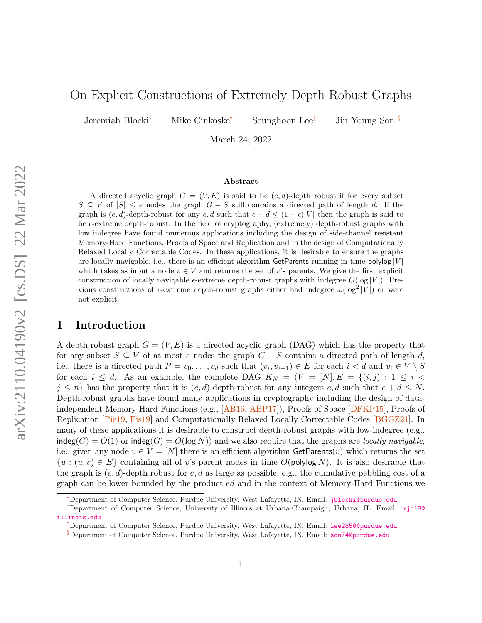# <span id="page-0-0"></span>On Explicit Constructions of Extremely Depth Robust Graphs

Jeremiah Blocki<sup>∗</sup> Mike Cinkoske† Seunghoon Lee‡ Jin Young Son §

March 24, 2022

#### Abstract

A directed acyclic graph  $G = (V, E)$  is said to be  $(e, d)$ -depth robust if for every subset  $S \subseteq V$  of  $|S| \leq e$  nodes the graph  $G - S$  still contains a directed path of length d. If the graph is  $(e, d)$ -depth-robust for any  $e, d$  such that  $e + d \leq (1 - \epsilon)|V|$  then the graph is said to be  $\epsilon$ -extreme depth-robust. In the field of cryptography, (extremely) depth-robust graphs with low indegree have found numerous applications including the design of side-channel resistant Memory-Hard Functions, Proofs of Space and Replication and in the design of Computationally Relaxed Locally Correctable Codes. In these applications, it is desirable to ensure the graphs are locally navigable, i.e., there is an efficient algorithm GetParents running in time polylog  $|V|$ which takes as input a node  $v \in V$  and returns the set of v's parents. We give the first explicit construction of locally navigable  $\epsilon$ -extreme depth-robust graphs with indegree  $O(\log |V|)$ . Previous constructions of  $\epsilon$ -extreme depth-robust graphs either had indegree  $\tilde{\omega}(\log^2 |V|)$  or were not explicit.

### 1 Introduction

A depth-robust graph  $G = (V, E)$  is a directed acyclic graph (DAG) which has the property that for any subset  $S \subseteq V$  of at most e nodes the graph  $G - S$  contains a directed path of length d, i.e., there is a directed path  $P = v_0, \ldots, v_d$  such that  $(v_i, v_{i+1}) \in E$  for each  $i < d$  and  $v_i \in V \setminus S$ for each  $i \leq d$ . As an example, the complete DAG  $K_N = (V = [N], E = \{(i, j) : 1 \leq i \leq j\})$  $j \leq n$  has the property that it is  $(e, d)$ -depth-robust for any integers  $e, d$  such that  $e + d \leq N$ . Depth-robust graphs have found many applications in cryptography including the design of dataindependent Memory-Hard Functions (e.g., [\[AB16,](#page-10-0) [ABP17\]](#page-10-1)), Proofs of Space [\[DFKP15\]](#page-10-2), Proofs of Replication [\[Pie19,](#page-11-0) [Fis19\]](#page-10-3) and Computationally Relaxed Locally Correctable Codes [\[BGGZ21\]](#page-10-4). In many of these applications it is desirable to construct depth-robust graphs with low-indegree (e.g.,  $\text{indeg}(G) = O(1)$  or  $\text{indeg}(G) = O(\log N)$  and we also require that the graphs are *locally navigable*, i.e., given any node  $v \in V = [N]$  there is an efficient algorithm GetParents $(v)$  which returns the set  $\{u : (u, v) \in E\}$  containing all of v's parent nodes in time  $O(\text{polylog } N)$ . It is also desirable that the graph is  $(e, d)$ -depth robust for  $e, d$  as large as possible, e.g., the cumulative pebbling cost of a graph can be lower bounded by the product ed and in the context of Memory-Hard Functions we

<sup>∗</sup>Department of Computer Science, Purdue University, West Lafayette, IN. Email: [jblocki@purdue.edu](mailto:jblocki@purdue.edu)

<sup>†</sup>Department of Computer Science, University of Illinois at Urbana-Champaign, Urbana, IL. Email: [mjc18@](mailto:mjc18@illinois.edu) [illinois.edu](mailto:mjc18@illinois.edu)

<sup>‡</sup>Department of Computer Science, Purdue University, West Lafayette, IN. Email: [lee2856@purdue.edu](mailto:lee2856@purdue.edu)

<sup>§</sup>Department of Computer Science, Purdue University, West Lafayette, IN. Email: [son74@purdue.edu](mailto:son74@purdue.edu)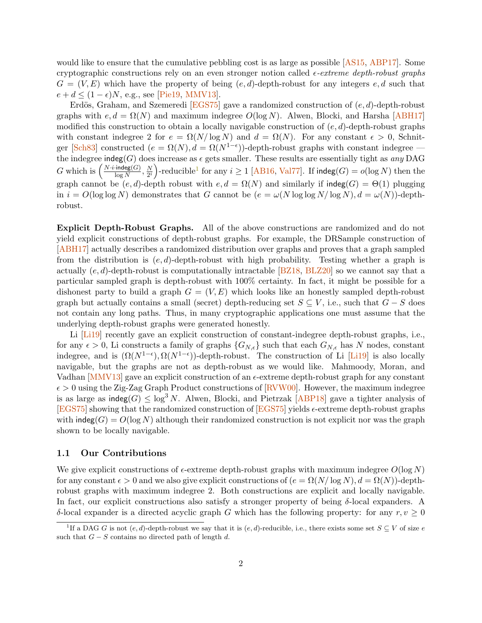would like to ensure that the cumulative pebbling cost is as large as possible  $[AS15, ABP17]$  $[AS15, ABP17]$  $[AS15, ABP17]$ . Some cryptographic constructions rely on an even stronger notion called  $\epsilon$ -extreme depth-robust graphs  $G = (V, E)$  which have the property of being  $(e, d)$ -depth-robust for any integers  $e, d$  such that  $e + d \leq (1 - \epsilon)N$ , e.g., see [\[Pie19,](#page-11-0) [MMV13\]](#page-11-1).

Erdös, Graham, and Szemeredi [\[EGS75\]](#page-10-6) gave a randomized construction of  $(e, d)$ -depth-robust graphs with  $e, d = \Omega(N)$  and maximum indegree  $O(\log N)$ . Alwen, Blocki, and Harsha [\[ABH17\]](#page-10-7) modified this construction to obtain a locally navigable construction of  $(e, d)$ -depth-robust graphs with constant indegree 2 for  $e = \Omega(N/\log N)$  and  $d = \Omega(N)$ . For any constant  $\epsilon > 0$ , Schnit-ger [\[Sch83\]](#page-11-2) constructed  $(e = \Omega(N), d = \Omega(N^{1-\epsilon}))$ -depth-robust graphs with constant indegree the indegree indeg(G) does increase as  $\epsilon$  gets smaller. These results are essentially tight as any DAG G which is  $\left(\frac{N \cdot i \cdot \text{indeg}(G)}{\log N}\right)$  $\frac{\cdot \textsf{indeg}(G)}{\log N}, \frac{N}{2^i}$  $\left(\frac{N}{2^i}\right)$ -reducible<sup>[1](#page-0-0)</sup> for any  $i \geq 1$  [\[AB16,](#page-10-0) [Val77\]](#page-11-3). If indeg( $G$ ) =  $o(\log N)$  then the graph cannot be  $(e, d)$ -depth robust with  $e, d = \Omega(N)$  and similarly if indeg(G) =  $\Theta(1)$  plugging in  $i = O(\log \log N)$  demonstrates that G cannot be  $(e = \omega(N \log \log N/\log N), d = \omega(N))$ -depthrobust.

Explicit Depth-Robust Graphs. All of the above constructions are randomized and do not yield explicit constructions of depth-robust graphs. For example, the DRSample construction of [\[ABH17\]](#page-10-7) actually describes a randomized distribution over graphs and proves that a graph sampled from the distribution is  $(e, d)$ -depth-robust with high probability. Testing whether a graph is actually  $(e, d)$ -depth-robust is computationally intractable [\[BZ18,](#page-10-8) [BLZ20\]](#page-10-9) so we cannot say that a particular sampled graph is depth-robust with 100% certainty. In fact, it might be possible for a dishonest party to build a graph  $G = (V, E)$  which looks like an honestly sampled depth-robust graph but actually contains a small (secret) depth-reducing set  $S \subseteq V$ , i.e., such that  $G - S$  does not contain any long paths. Thus, in many cryptographic applications one must assume that the underlying depth-robust graphs were generated honestly.

Li [\[Li19\]](#page-11-4) recently gave an explicit construction of constant-indegree depth-robust graphs, i.e., for any  $\epsilon > 0$ , Li constructs a family of graphs  $\{G_{N,\epsilon}\}\$  such that each  $G_{N,\epsilon}$  has N nodes, constant indegree, and is  $(\Omega(N^{1-\epsilon}), \Omega(N^{1-\epsilon}))$ -depth-robust. The construction of Li [\[Li19\]](#page-11-4) is also locally navigable, but the graphs are not as depth-robust as we would like. Mahmoody, Moran, and Vadhan  $[MMV13]$  gave an explicit construction of an  $\epsilon$ -extreme depth-robust graph for any constant  $\epsilon > 0$  using the Zig-Zag Graph Product constructions of [\[RVW00\]](#page-11-5). However, the maximum indegree is as large as  $indeg(G) \leq log^3 N$ . Alwen, Blocki, and Pietrzak [\[ABP18\]](#page-10-10) gave a tighter analysis of [\[EGS75\]](#page-10-6) showing that the randomized construction of [EGS75] yields  $\epsilon$ -extreme depth-robust graphs with  $\text{indeg}(G) = O(\log N)$  although their randomized construction is not explicit nor was the graph shown to be locally navigable.

#### 1.1 Our Contributions

We give explicit constructions of  $\epsilon$ -extreme depth-robust graphs with maximum indegree  $O(\log N)$ for any constant  $\epsilon > 0$  and we also give explicit constructions of  $(e = \Omega(N/\log N), d = \Omega(N))$ -depthrobust graphs with maximum indegree 2. Both constructions are explicit and locally navigable. In fact, our explicit constructions also satisfy a stronger property of being  $\delta$ -local expanders. A δ-local expander is a directed acyclic graph G which has the following property: for any  $r, v > 0$ 

<sup>&</sup>lt;sup>1</sup>If a DAG G is not  $(e, d)$ -depth-robust we say that it is  $(e, d)$ -reducible, i.e., there exists some set  $S \subseteq V$  of size e such that  $G - S$  contains no directed path of length d.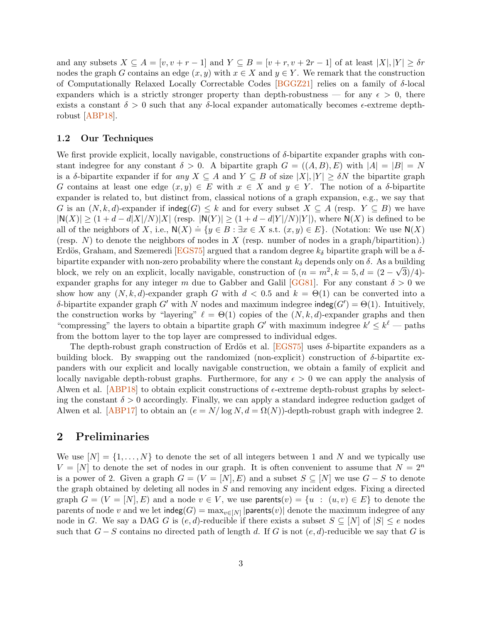and any subsets  $X \subseteq A = [v, v + r - 1]$  and  $Y \subseteq B = [v + r, v + 2r - 1]$  of at least  $|X|, |Y| \geq \delta r$ nodes the graph G contains an edge  $(x, y)$  with  $x \in X$  and  $y \in Y$ . We remark that the construction of Computationally Relaxed Locally Correctable Codes  $[\text{BGGZ21}]$  relies on a family of  $\delta$ -local expanders which is a strictly stronger property than depth-robustness — for any  $\epsilon > 0$ , there exists a constant  $\delta > 0$  such that any  $\delta$ -local expander automatically becomes  $\epsilon$ -extreme depthrobust [\[ABP18\]](#page-10-10).

#### 1.2 Our Techniques

We first provide explicit, locally navigable, constructions of δ-bipartite expander graphs with constant indegree for any constant  $\delta > 0$ . A bipartite graph  $G = ((A, B), E)$  with  $|A| = |B| = N$ is a  $\delta$ -bipartite expander if for any  $X \subseteq A$  and  $Y \subseteq B$  of size  $|X|, |Y| \geq \delta N$  the bipartite graph G contains at least one edge  $(x, y) \in E$  with  $x \in X$  and  $y \in Y$ . The notion of a  $\delta$ -bipartite expander is related to, but distinct from, classical notions of a graph expansion, e.g., we say that G is an  $(N, k, d)$ -expander if indeg $(G) \leq k$  and for every subset  $X \subseteq A$  (resp.  $Y \subseteq B$ ) we have  $|N(X)| \geq (1+d-d|X|/N)|X|$  (resp.  $|N(Y)| \geq (1+d-d|Y|/N)|Y|$ ), where  $N(X)$  is defined to be all of the neighbors of X, i.e.,  $N(X) = \{y \in B : \exists x \in X \text{ s.t. } (x, y) \in E\}$ . (Notation: We use  $N(X)$ ) (resp. N) to denote the neighbors of nodes in X (resp. number of nodes in a graph/bipartition).) Erdös, Graham, and Szemeredi [\[EGS75\]](#page-10-6) argued that a random degree  $k_{\delta}$  bipartite graph will be a  $\delta$ bipartite expander with non-zero probability where the constant  $k_{\delta}$  depends only on  $\delta$ . As a building block, we rely on an explicit, locally navigable, construction of  $(n = m^2, k = 5, d = (2 - \sqrt{3})/4$ . expander graphs for any integer m due to Gabber and Galil [\[GG81\]](#page-10-11). For any constant  $\delta > 0$  we show how any  $(N, k, d)$ -expander graph G with  $d < 0.5$  and  $k = \Theta(1)$  can be converted into a δ-bipartite expander graph G' with N nodes and maximum indegree indeg( $G'$ ) =  $\Theta(1)$ . Intuitively, the construction works by "layering"  $\ell = \Theta(1)$  copies of the  $(N, k, d)$ -expander graphs and then "compressing" the layers to obtain a bipartite graph  $G'$  with maximum indegree  $k' \leq k^{\ell}$  — paths from the bottom layer to the top layer are compressed to individual edges.

The depth-robust graph construction of Erdös et al.  $[EGS75]$  uses  $\delta$ -bipartite expanders as a building block. By swapping out the randomized (non-explicit) construction of  $\delta$ -bipartite expanders with our explicit and locally navigable construction, we obtain a family of explicit and locally navigable depth-robust graphs. Furthermore, for any  $\epsilon > 0$  we can apply the analysis of Alwen et al.  $[ABP18]$  to obtain explicit constructions of  $\epsilon$ -extreme depth-robust graphs by selecting the constant  $\delta > 0$  accordingly. Finally, we can apply a standard indegree reduction gadget of Alwen et al. [\[ABP17\]](#page-10-1) to obtain an  $(e = N/\log N, d = \Omega(N))$ -depth-robust graph with indegree 2.

## 2 Preliminaries

We use  $[N] = \{1, \ldots, N\}$  to denote the set of all integers between 1 and N and we typically use  $V = [N]$  to denote the set of nodes in our graph. It is often convenient to assume that  $N = 2^n$ is a power of 2. Given a graph  $G = (V = [N], E)$  and a subset  $S \subseteq [N]$  we use  $G - S$  to denote the graph obtained by deleting all nodes in S and removing any incident edges. Fixing a directed graph  $G = (V = [N], E)$  and a node  $v \in V$ , we use parents $(v) = \{u : (u, v) \in E\}$  to denote the parents of node v and we let  $\text{indeg}(G) = \max_{v \in [N]} |\text{parents}(v)|$  denote the maximum indegree of any node in G. We say a DAG G is  $(e, d)$ -reducible if there exists a subset  $S \subseteq [N]$  of  $|S| \le e$  nodes such that  $G-S$  contains no directed path of length d. If G is not  $(e, d)$ -reducible we say that G is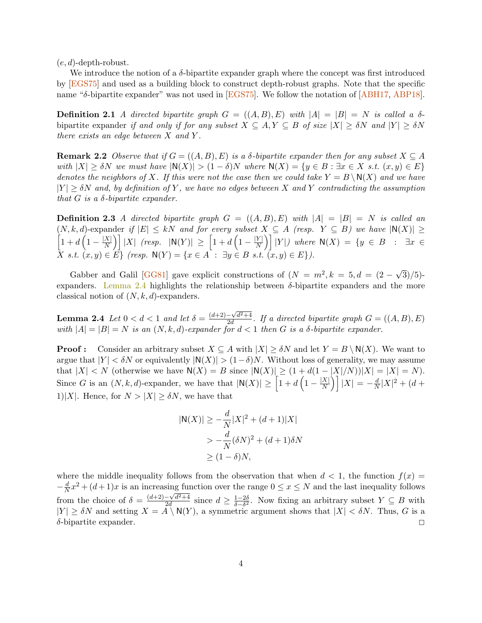$(e, d)$ -depth-robust.

We introduce the notion of a  $\delta$ -bipartite expander graph where the concept was first introduced by [\[EGS75\]](#page-10-6) and used as a building block to construct depth-robust graphs. Note that the specific name "δ-bipartite expander" was not used in [\[EGS75\]](#page-10-6). We follow the notation of [\[ABH17,](#page-10-7) [ABP18\]](#page-10-10).

Definition 2.1 A directed bipartite graph  $G = ((A, B), E)$  with  $|A| = |B| = N$  is called a  $\delta$ bipartite expander if and only if for any subset  $X \subseteq A, Y \subseteq B$  of size  $|X| \geq \delta N$  and  $|Y| \geq \delta N$ there exists an edge between  $X$  and  $Y$ .

**Remark 2.2** Observe that if  $G = ((A, B), E)$  is a  $\delta$ -bipartite expander then for any subset  $X \subseteq A$ with  $|X| \geq \delta N$  we must have  $|\mathsf{N}(X)| > (1 - \delta)N$  where  $\mathsf{N}(X) = \{y \in B : \exists x \in X \text{ s.t. } (x, y) \in E\}$ denotes the neighbors of X. If this were not the case then we could take  $Y = B \setminus N(X)$  and we have  $|Y| \geq \delta N$  and, by definition of Y, we have no edges between X and Y contradicting the assumption that  $G$  is a  $\delta$ -bipartite expander.

**Definition 2.3** A directed bipartite graph  $G = ((A, B), E)$  with  $|A| = |B| = N$  is called an  $\sqrt{ }$  $(N, k, d)$ -expander if  $|E| \leq kN$  and for every subset  $X \subseteq A$  (resp.  $Y \subseteq B$ ) we have  $|\mathsf{N}(X)| \geq$  $1 + d\left(1 - \frac{|X|}{N}\right)$  $\left\vert \frac{X|}{N}\right\rangle \right\vert\left\vert X\right\vert\text{ (resp. }\left\vert \mathsf{N}(Y)\right\vert\text{ }\geq\text{ } \left\vert 1+d\left(1-\frac{\vert Y\vert}{N}\right)\right\vert.$  $\left[\frac{Y}{N}\right] \Big|Y|$  where  $N(X) = \{y \in B : \exists x \in$  $X \text{ s.t. } (x, y) \in E \} \text{ (resp. } \mathsf{N}(Y) = \{x \in A : \exists y \in B \text{ s.t. } (x, y) \in E \}\text{)}.$ 

Gabber and Galil [\[GG81\]](#page-10-11) gave explicit constructions of  $(N = m^2, k = 5, d = (2 - \sqrt{3})/5$ ] expanders. [Lemma 2.4](#page-3-0) highlights the relationship between  $\delta$ -bipartite expanders and the more classical notion of  $(N, k, d)$ -expanders.

<span id="page-3-0"></span>**Lemma 2.4** Let  $0 < d < 1$  and let  $\delta = \frac{(d+2)-\sqrt{d^2+4}}{2d}$  $\frac{-\sqrt{a^2+4}}{2d}$ . If a directed bipartite graph  $G = ((A, B), E)$ with  $|A| = |B| = N$  is an  $(N, k, d)$ -expander for  $d < 1$  then G is a  $\delta$ -bipartite expander.

**Proof :** Consider an arbitrary subset  $X \subseteq A$  with  $|X| \geq \delta N$  and let  $Y = B \setminus N(X)$ . We want to argue that  $|Y| < \delta N$  or equivalently  $|N(X)| > (1-\delta)N$ . Without loss of generality, we may assume that  $|X| < N$  (otherwise we have  $N(X) = B$  since  $|N(X)| \ge (1 + d(1 - |X|/N))|X| = |X| = N$ ). Since G is an  $(N, k, d)$ -expander, we have that  $|\mathsf{N}(X)| \geq \left[1 + d\left(1 - \frac{|X|}{N}\right)\right]$  $\left\lfloor \frac{X|}{N} \right\rfloor \left| X \right| = - \frac{d}{N}$  $\frac{d}{N}|X|^2 + (d +$ 1)|X|. Hence, for  $N > |X| > \delta N$ , we have that

$$
|\mathsf{N}(X)| \ge -\frac{d}{N}|X|^2 + (d+1)|X|
$$
  
>  $-\frac{d}{N}(\delta N)^2 + (d+1)\delta N$   
 $\ge (1-\delta)N,$ 

where the middle inequality follows from the observation that when  $d < 1$ , the function  $f(x) =$  $-\frac{d}{N}x^2 + (d+1)x$  is an increasing function over the range  $0 \le x \le N$  and the last inequality follows N from the choice of  $\delta = \frac{(d+2)-\sqrt{d^2+4}}{2d}$  $\frac{-\sqrt{d^2+4}}{2d}$  since  $d \geq \frac{1-2\delta}{\delta-\delta^2}$  $\frac{1-2\delta}{\delta-\delta^2}$ . Now fixing an arbitrary subset  $Y \subseteq B$  with  $|Y| \geq \delta N$  and setting  $X = A \setminus N(Y)$ , a symmetric argument shows that  $|X| < \delta N$ . Thus, G is a  $\delta$ -bipartite expander.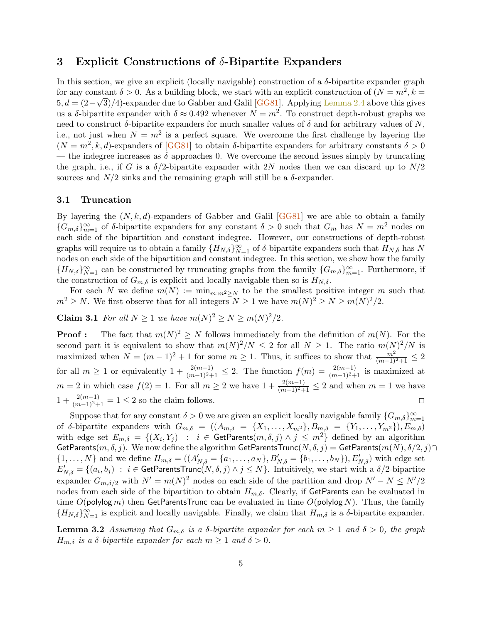## 3 Explicit Constructions of  $\delta$ -Bipartite Expanders

In this section, we give an explicit (locally navigable) construction of a  $\delta$ -bipartite expander graph for any constant  $\delta > 0$ . As a building block, we start with an explicit construction of  $(N = m^2, k =$  $5, d = (2-\sqrt{3})/4$ )-expander due to Gabber and Galil [\[GG81\]](#page-10-11). Applying [Lemma 2.4](#page-3-0) above this gives us a  $\delta$ -bipartite expander with  $\delta \approx 0.492$  whenever  $N = m^2$ . To construct depth-robust graphs we need to construct  $\delta$ -bipartite expanders for much smaller values of  $\delta$  and for arbitrary values of N, i.e., not just when  $N = m^2$  is a perfect square. We overcome the first challenge by layering the  $(N = m^2, k, d)$ -expanders of [\[GG81\]](#page-10-11) to obtain  $\delta$ -bipartite expanders for arbitrary constants  $\delta > 0$ — the indegree increases as  $\delta$  approaches 0. We overcome the second issues simply by truncating the graph, i.e., if G is a  $\delta/2$ -bipartite expander with 2N nodes then we can discard up to  $N/2$ sources and  $N/2$  sinks and the remaining graph will still be a  $\delta$ -expander.

#### 3.1 Truncation

By layering the  $(N, k, d)$ -expanders of Gabber and Galil [\[GG81\]](#page-10-11) we are able to obtain a family  ${G_{m,\delta}}_{m=1}^{\infty}$  of  $\delta$ -bipartite expanders for any constant  $\delta > 0$  such that  $G_m$  has  $N = m^2$  nodes on each side of the bipartition and constant indegree. However, our constructions of depth-robust graphs will require us to obtain a family  ${H_{N,\delta}}_{N=1}^{\infty}$  of  $\delta$ -bipartite expanders such that  $H_{N,\delta}$  has N nodes on each side of the bipartition and constant indegree. In this section, we show how the family  ${H_{N,\delta}}_{N=1}^{\infty}$  can be constructed by truncating graphs from the family  ${G_{m,\delta}}_{m=1}^{\infty}$ . Furthermore, if the construction of  $G_{m,\delta}$  is explicit and locally navigable then so is  $H_{N,\delta}$ .

For each N we define  $m(N) := \min_{m:m^2 \geq N}$  to be the smallest positive integer m such that  $m^2 \ge N$ . We first observe that for all integers  $N \ge 1$  we have  $m(N)^2 \ge N \ge m(N)^2/2$ .

<span id="page-4-0"></span>**Claim 3.1** For all  $N \ge 1$  we have  $m(N)^2 \ge N \ge m(N)^2/2$ .

**Proof :** The fact that  $m(N)^2 \geq N$  follows immediately from the definition of  $m(N)$ . For the second part it is equivalent to show that  $m(N)^2/N \leq 2$  for all  $N \geq 1$ . The ratio  $m(N)^2/N$  is maximized when  $N = (m-1)^2 + 1$  for some  $m \ge 1$ . Thus, it suffices to show that  $\frac{m^2}{(m-1)^2+1} \le 2$ for all  $m \geq 1$  or equivalently  $1 + \frac{2(m-1)}{(m-1)^2+1} \leq 2$ . The function  $f(m) = \frac{2(m-1)}{(m-1)^2+1}$  is maximized at  $m = 2$  in which case  $f(2) = 1$ . For all  $m \ge 2$  we have  $1 + \frac{2(m-1)}{(m-1)^2+1} \le 2$  and when  $m = 1$  we have  $1 + \frac{2(m-1)}{(m-1)^2+1} = 1 \leq 2$  so the claim follows. □

Suppose that for any constant  $\delta > 0$  we are given an explicit locally navigable family  $\{G_{m,\delta}\}_{m=1}^{\infty}$ of δ-bipartite expanders with  $G_{m,\delta} = ((A_{m,\delta} = \{X_1, \ldots, X_{m^2}\}, B_{m,\delta} = \{Y_1, \ldots, Y_{m^2}\}), E_{m,\delta})$ with edge set  $E_{m,\delta} = \{(X_i, Y_j) : i \in \textsf{GetParents}(m,\delta,j) \land j \leq m^2\}$  defined by an algorithm GetParents $(m, \delta, j)$ . We now define the algorithm GetParentsTrunc $(N, \delta, j) =$  GetParents $(m(N), \delta/2, j) \cap$  $\{1, \ldots, N\}$  and we define  $H_{m,\delta} = ((A'_{N,\delta} = \{a_1, \ldots, a_N\}, B'_{N,\delta} = \{b_1, \ldots, b_N\}), E'_{N,\delta})$  with edge set  $E_{N,\delta}'=\{(a_i,b_j)\;:\;i\in\mathsf{GetParentsTrunc}(N,\delta,j)\land j\leq N\}.$  Intuitively, we start with a  $\delta/2\text{-bipartite}$ expander  $G_{m,\delta/2}$  with  $N' = m(N)^2$  nodes on each side of the partition and drop  $N' - N \le N'/2$ nodes from each side of the bipartition to obtain  $H_{m,\delta}$ . Clearly, if GetParents can be evaluated in time  $O(polylog m)$  then GetParentsTrunc can be evaluated in time  $O(polylog N)$ . Thus, the family  ${H_{N,\delta}}_{N=1}^{\infty}$  is explicit and locally navigable. Finally, we claim that  $H_{m,\delta}$  is a  $\delta$ -bipartite expander.

<span id="page-4-1"></span>**Lemma 3.2** Assuming that  $G_{m,\delta}$  is a  $\delta$ -bipartite expander for each  $m \geq 1$  and  $\delta > 0$ , the graph  $H_{m,\delta}$  is a  $\delta$ -bipartite expander for each  $m \geq 1$  and  $\delta > 0$ .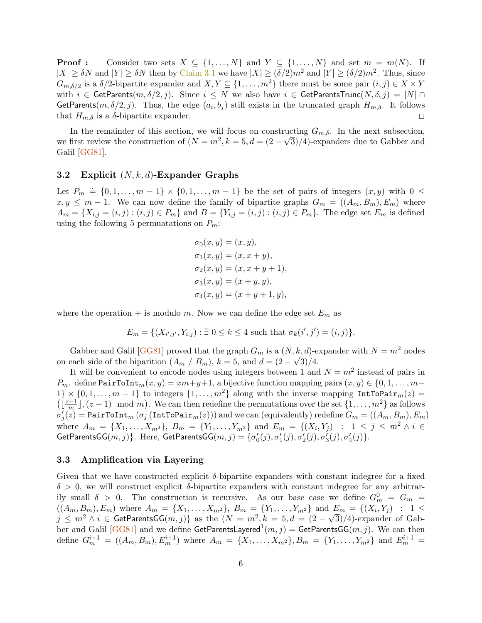**Proof :** Consider two sets  $X \subseteq \{1, ..., N\}$  and  $Y \subseteq \{1, ..., N\}$  and set  $m = m(N)$ . If  $|X| \geq \delta N$  and  $|Y| \geq \delta N$  then by [Claim 3.1](#page-4-0) we have  $|X| \geq (\delta/2)m^2$  and  $|Y| \geq (\delta/2)m^2$ . Thus, since  $G_{m,\delta/2}$  is a  $\delta/2$ -bipartite expander and  $X, Y \subseteq \{1, \ldots, m^2\}$  there must be some pair  $(i, j) \in X \times Y$ with  $i \in \textsf{GetParents}(m, \delta/2, j)$ . Since  $i \leq N$  we also have  $i \in \textsf{GetParentsTrunc}(N, \delta, j) = [N] \cap$ GetParents $(m, \delta/2, j)$ . Thus, the edge  $(a_i, b_j)$  still exists in the truncated graph  $H_{m,\delta}$ . It follows that  $H_{m,\delta}$  is a  $\delta$ -bipartite expander.

In the remainder of this section, we will focus on constructing  $G_{m,\delta}$ . In the next subsection, we first review the construction of  $(N = m^2, k = 5, d = (2 - \sqrt{3})/4$ )-expanders due to Gabber and Galil [\[GG81\]](#page-10-11).

#### 3.2 Explicit  $(N, k, d)$ -Expander Graphs

Let  $P_m \doteq \{0, 1, \ldots, m-1\} \times \{0, 1, \ldots, m-1\}$  be the set of pairs of integers  $(x, y)$  with  $0 \le$  $x, y \leq m-1$ . We can now define the family of bipartite graphs  $G_m = ((A_m, B_m), E_m)$  where  $A_m = \{X_{i,j} = (i,j) : (i,j) \in P_m\}$  and  $B = \{Y_{i,j} = (i,j) : (i,j) \in P_m\}$ . The edge set  $E_m$  is defined using the following 5 permuatations on  $P_m$ :

$$
\sigma_0(x, y) = (x, y),\n\sigma_1(x, y) = (x, x + y),\n\sigma_2(x, y) = (x, x + y + 1),\n\sigma_3(x, y) = (x + y, y),\n\sigma_4(x, y) = (x + y + 1, y),
$$

where the operation + is modulo m. Now we can define the edge set  $E_m$  as

$$
E_m = \{ (X_{i',j'}, Y_{i,j}) : \exists \ 0 \le k \le 4 \text{ such that } \sigma_k(i',j') = (i,j) \}.
$$

Gabber and Galil [\[GG81\]](#page-10-11) proved that the graph  $G_m$  is a  $(N, k, d)$ -expander with  $N = m^2$  nodes on each side of the biparition  $(A_m / B_m)$ ,  $k = 5$ , and  $d = (2 - \sqrt{3})/4$ .

It will be convenient to encode nodes using integers between 1 and  $N = m^2$  instead of pairs in  $P_m$ . define PairToInt $_m(x, y) = xm+y+1$ , a bijective function mapping pairs  $(x, y) \in \{0, 1, \ldots, m-1\}$ 1}  $\times$  {0,1,..., m - 1} to integers {1,..., m<sup>2</sup>} along with the inverse mapping IntToPair<sub>m</sub>(z) =  $\left(\left\lfloor \frac{z-1}{m}\right\rfloor\right)$  $\frac{n-1}{m},(z-1) \mod m$ . We can then redefine the permutations over the set  $\{1,\ldots,m^2\}$  as follows  $\sigma_j'(z) =$  PairToInt $_m$   $(\sigma_j$   $(\texttt{IntToPair}_m(z)))$  and we can (equivalently) redefine  $G_m = ((A_m, B_m), E_m)$ where  $A_m = \{X_1, \ldots, X_{m^2}\}, B_m = \{Y_1, \ldots, Y_{m^2}\}$  and  $E_m = \{(X_i, Y_j) : 1 \leq j \leq m^2 \land i \in$ GetParentsGG $(m, j)$ }. Here, GetParentsGG $(m, j) = \{\sigma'_0(j), \sigma'_1(j), \sigma'_2(j), \sigma'_3(j), \sigma'_4(j)\}.$ 

#### 3.3 Amplification via Layering

Given that we have constructed explicit  $\delta$ -bipartite expanders with constant indegree for a fixed  $\delta > 0$ , we will construct explicit  $\delta$ -bipartite expanders with constant indegree for any arbitrarily small  $\delta > 0$ . The construction is recursive. As our base case we define  $G_m^0 = G_m =$  $((A_m, B_m), E_m)$  where  $A_m = \{X_1, \ldots, X_{m^2}\}, B_m = \{Y_1, \ldots, Y_{m^2}\}$  and  $E_m = \{(X_i, Y_j) : 1 \leq j \leq m\}$  $j \leq m^2 \wedge i \in \text{GetParentsGG}(m, j)$  as the  $(N = m^2, k = 5, d = (2 - \sqrt{3})/4)$ -expander of Gab-ber and Galil [\[GG81\]](#page-10-11) and we define GetParentsLayered $^{1}(m, j) =$  GetParentsGG $(m, j)$ . We can then define  $G_m^{i+1} = ((A_m, B_m), E_m^{i+1})$  where  $A_m = \{X_1, \ldots, X_{m^2}\}, B_m = \{Y_1, \ldots, Y_{m^2}\}$  and  $E_m^{i+1} =$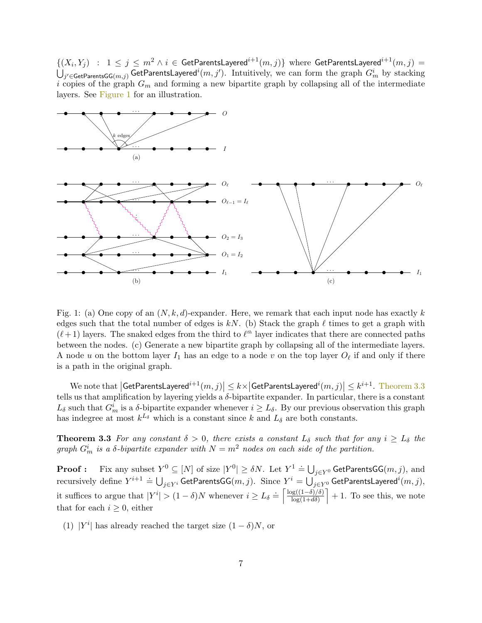$\{(X_i,Y_j) \ : \ 1 \leq j \leq m^2 \land i \in \mathsf{GetParentsLayer}^{i+1}(m,j)\}$  where  $\mathsf{GetParentsLayer}^{i+1}(m,j) = \emptyset$  $\bigcup_{j'\in\mathsf{GetParentsGG}(m,j)}\mathsf{GetParentsLayer}$  and  $i(m,j').$  Intuitively, we can form the graph  $G^i_m$  by stacking i copies of the graph  $G_m$  and forming a new bipartite graph by collapsing all of the intermediate layers. See [Figure 1](#page-6-0) for an illustration.



<span id="page-6-0"></span>Fig. 1: (a) One copy of an  $(N, k, d)$ -expander. Here, we remark that each input node has exactly k edges such that the total number of edges is  $kN$ . (b) Stack the graph  $\ell$  times to get a graph with  $(\ell + 1)$  layers. The snaked edges from the third to  $\ell<sup>th</sup>$  layer indicates that there are connected paths between the nodes. (c) Generate a new bipartite graph by collapsing all of the intermediate layers. A node u on the bottom layer  $I_1$  has an edge to a node v on the top layer  $O_\ell$  if and only if there is a path in the original graph.

We note that  $\left|\mathsf{GetParentsLayer}^{i+1}(m,j)\right| \leq k \times \left|\mathsf{GetParentsLayer}^{d^i}(m,j)\right| \leq k^{i+1}$ . [Theorem 3.3](#page-6-1) tells us that amplification by layering yields a  $\delta$ -bipartite expander. In particular, there is a constant  $L_{\delta}$  such that  $G_m^i$  is a  $\delta$ -bipartite expander whenever  $i \ge L_{\delta}$ . By our previous observation this graph has indegree at most  $k^{L_{\delta}}$  which is a constant since k and  $L_{\delta}$  are both constants.

<span id="page-6-1"></span>**Theorem 3.3** For any constant  $\delta > 0$ , there exists a constant  $L_{\delta}$  such that for any  $i \geq L_{\delta}$  the graph  $G_m^i$  is a  $\delta$ -bipartite expander with  $N = m^2$  nodes on each side of the partition.

**Proof :** Fix any subset  $Y^0 \subseteq [N]$  of size  $|Y^0| \ge \delta N$ . Let  $Y^1 \doteq \bigcup_{j \in Y^0} \mathsf{GetParentsGG}(m, j)$ , and recursively define  $Y^{i+1} = \bigcup_{j \in Y^i} \overline{\mathsf{GetParentsGG}(m, j)}$ . Since  $Y^i = \bigcup_{j \in Y^0} \mathsf{GetParentsLayer}^{i}(m, j)$ , it suffices to argue that  $|Y^i| > (1 - \delta)N$  whenever  $i \ge L_\delta \doteq \left[ \frac{\log((1 - \delta)/\delta)}{\log(1 + d\delta)} \right]$  $\frac{\log((1-\delta)/\delta)}{\log(1+d\delta)}$  + 1. To see this, we note that for each  $i \geq 0$ , either

(1) | $Y^i$ | has already reached the target size  $(1 - \delta)N$ , or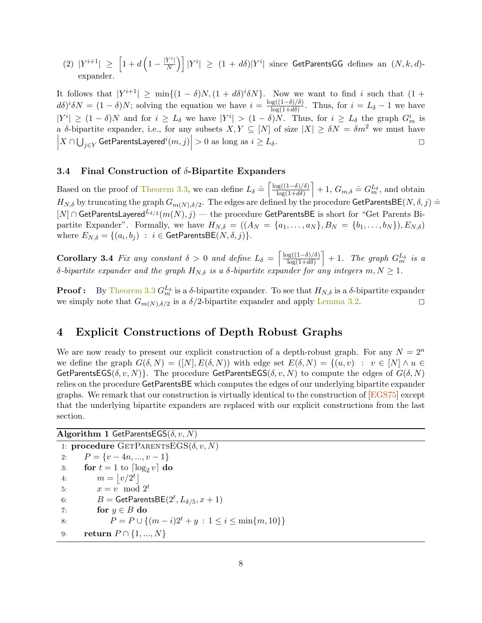(2)  $|Y^{i+1}| \geq \left[1 + d\left(1 - \frac{|Y^i|}{N}\right)\right]$  $\left\vert \frac{Y^{i}\rceil}{N}\right\rangle \right]\left\vert Y^{i}\right\vert \,\,\geq\,\,\left( 1\,+\,d\delta\right)\left\vert Y^{i}\right\vert \,\,\hbox{since $\,\,\text{GetParentsGG} \,\, \text{ defines an}\,\,\left(N,k,d\right)$-}$ expander.

It follows that  $|Y^{i+1}| \ge \min\{(1-\delta)N, (1+d\delta)^i\delta N\}$ . Now we want to find i such that  $(1+d\delta)^i\delta N$ .  $d\delta$ <sup>*i*</sup> $\delta N = (1 - \delta)N$ ; solving the equation we have  $i = \frac{\log((1 - \delta)/\delta)}{\log(1 + d\delta)}$  $\frac{\log(1-\theta)/\theta}{\log(1+d\delta)}$ . Thus, for  $i=L_{\delta}-1$  we have  $|Y^i| \geq (1-\delta)N$  and for  $i \geq L_{\delta}$  we have  $|Y^i| > (1-\delta)N$ . Thus, for  $i \geq L_{\delta}$  the graph  $G_m^i$  is a δ-bipartite expander, i.e., for any subsets  $X, Y \subseteq [N]$  of size  $|X| \geq \delta N = \delta m^2$  we must have  $\left| X \cap \bigcup_{j \in Y} \mathsf{GetParentsLayer} \right|^i(m,j) \right| > 0 \text{ as long as } i \geq L_{\delta}.$ 

#### 3.4 Final Construction of  $\delta$ -Bipartite Expanders

Based on the proof of [Theorem 3.3,](#page-6-1) we can define  $L_{\delta} \doteq \begin{bmatrix} \log((1-\delta)/\delta) \\ \log(1+d\delta) \end{bmatrix}$  $\frac{\log((1-\delta)/\delta)}{\log(1+d\delta)}$  + 1,  $G_{m,\delta} \doteq G_{m}^{L_{\delta}}$ , and obtain  $H_{N,\delta}$  by truncating the graph  $G_{m(N),\delta/2}$ . The edges are defined by the procedure GetParentsBE(N,  $\delta, j$ ) =  $[N] \cap$  GetParentsLayered<sup>L<sub>δ/2</sub> (m(N), j) — the procedure GetParentsBE is short for "Get Parents Bi-</sup> partite Expander". Formally, we have  $H_{N,\delta} = ((A_N = \{a_1, \ldots, a_N\}, B_N = \{b_1, \ldots, b_N\}), E_{N,\delta})$ where  $E_{N,\delta} = \{(a_i, b_j) : i \in \textsf{GetParentsBE}(N, \delta, j)\}.$ 

**Corollary 3.4** Fix any constant  $\delta > 0$  and define  $L_{\delta} = \begin{bmatrix} \log((1-\delta)/\delta) \\ \log(1+d\delta) \end{bmatrix}$  $\left(\frac{\log((1-\delta)/\delta)}{\log(1+d\delta)}\right] + 1$ . The graph  $G_{m}^{L_{\delta}}$  is a  $\delta$ -bipartite expander and the graph  $H_{N,\delta}$  is a  $\delta$ -bipartite expander for any integers  $m, N \geq 1$ .

**Proof :** By [Theorem 3.3](#page-6-1)  $G_m^{L_{\delta}}$  is a  $\delta$ -bipartite expander. To see that  $H_{N,\delta}$  is a  $\delta$ -bipartite expander we simply note that  $G_{m(N),\delta/2}$  is a  $\delta/2$ -bipartite expander and apply [Lemma 3.2.](#page-4-1)

## 4 Explicit Constructions of Depth Robust Graphs

We are now ready to present our explicit construction of a depth-robust graph. For any  $N = 2^n$ we define the graph  $G(\delta, N) = ([N], E(\delta, N))$  with edge set  $E(\delta, N) = \{(u, v) : v \in [N] \land u \in$ GetParentsEGS( $\delta, v, N$ ). The procedure GetParentsEGS( $\delta, v, N$ ) to compute the edges of  $G(\delta, N)$ relies on the procedure GetParentsBE which computes the edges of our underlying bipartite expander graphs. We remark that our construction is virtually identical to the construction of [\[EGS75\]](#page-10-6) except that the underlying bipartite expanders are replaced with our explicit constructions from the last section.

Algorithm 1 GetParentsEGS( $\delta, v, N$ )

1: procedure  $GETPARENTSEGS(\delta, v, N)$ 2:  $P = \{v - 4n, ..., v - 1\}$ <br>3: **for**  $t = 1$  to  $\lceil \log_2 v \rceil$  **d** 3: **for**  $t = 1$  to  $\left[\log_2 v\right]$  do<br>4:  $m = |v/2^t|$ 4:  $m = |v/2^t|$ 5:  $x = v \mod 2^t$ 6:  $B = \text{GetParentsBE}(2^t, L_{\delta/5}, x+1)$ 7: for  $y \in B$  do<br>8:  $P = P \cup \{$  $P = P \cup \{(m - i)2^{t} + y : 1 \leq i \leq \min\{m, 10\}\}\$ 9: **return**  $P \cap \{1, ..., N\}$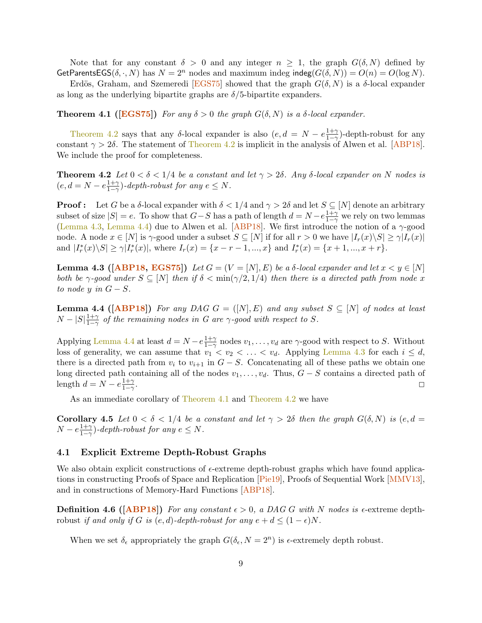Note that for any constant  $\delta > 0$  and any integer  $n \geq 1$ , the graph  $G(\delta, N)$  defined by GetParentsEGS( $\delta, \cdot, N$ ) has  $N = 2^n$  nodes and maximum indeg indeg( $G(\delta, N) = O(n) = O(\log N)$ .

Erdös, Graham, and Szemeredi [\[EGS75\]](#page-10-6) showed that the graph  $G(\delta, N)$  is a  $\delta$ -local expander as long as the underlying bipartite graphs are  $\delta/5$ -bipartite expanders.

<span id="page-8-3"></span>**Theorem 4.1** ([\[EGS75\]](#page-10-6)) For any  $\delta > 0$  the graph  $G(\delta, N)$  is a  $\delta$ -local expander.

[Theorem 4.2](#page-8-0) says that any δ-local expander is also  $(e, d = N - e^{\frac{1+\gamma}{1-\gamma}})$  $\frac{1+\gamma}{1-\gamma}$ -depth-robust for any constant  $\gamma > 2\delta$ . The statement of [Theorem 4.2](#page-8-0) is implicit in the analysis of Alwen et al. [\[ABP18\]](#page-10-10). We include the proof for completeness.

<span id="page-8-0"></span>**Theorem 4.2** Let  $0 < \delta < 1/4$  be a constant and let  $\gamma > 2\delta$ . Any  $\delta$ -local expander on N nodes is  $(e, d=N-e\frac{1+\gamma}{1-\gamma})$  $\frac{1+\gamma}{1-\gamma}$ )-depth-robust for any  $e \leq N$ .

**Proof :** Let G be a δ-local expander with  $\delta < 1/4$  and  $\gamma > 2\delta$  and let  $S \subseteq [N]$  denote an arbitrary subset of size  $|S| = e$ . To show that  $G-S$  has a path of length  $d = N - e \frac{1+\gamma}{1-\gamma}$  we rely on two lemmas [\(Lemma 4.3,](#page-8-1) [Lemma 4.4\)](#page-8-2) due to Alwen et al. [\[ABP18\]](#page-10-10). We first introduce the notion of a  $\gamma$ -good node. A node  $x \in [N]$  is  $\gamma$ -good under a subset  $S \subseteq [N]$  if for all  $r > 0$  we have  $|I_r(x) \setminus S| \ge \gamma |I_r(x)|$ and  $|I_r^*(x)\backslash S| \ge \gamma |I_r^*(x)|$ , where  $I_r(x) = \{x - r - 1, ..., x\}$  and  $I_r^*(x) = \{x + 1, ..., x + r\}$ .

<span id="page-8-1"></span>Lemma 4.3 ( $[ABP18, EGS75]$  $[ABP18, EGS75]$  $[ABP18, EGS75]$ ) Let  $G = (V = [N], E)$  be a  $\delta$ -local expander and let  $x < y \in [N]$ both be  $\gamma$ -good under  $S \subseteq [N]$  then if  $\delta < \min(\gamma/2, 1/4)$  then there is a directed path from node x to node y in  $G-S$ .

<span id="page-8-2"></span>**Lemma 4.4 ([\[ABP18\]](#page-10-10))** For any DAG  $G = ([N], E)$  and any subset  $S \subseteq [N]$  of nodes at least  $N-|S|\frac{1+\gamma}{1-\gamma}$  $\frac{1+\gamma}{1-\gamma}$  of the remaining nodes in G are  $\gamma$ -good with respect to S.

Applying [Lemma 4.4](#page-8-2) at least  $d = N - e^{\frac{1+\gamma}{1-\gamma}}$  $\frac{1+\gamma}{1-\gamma}$  nodes  $v_1, \ldots, v_d$  are  $\gamma$ -good with respect to S. Without loss of generality, we can assume that  $v_1 < v_2 < \ldots < v_d$ . Applying [Lemma 4.3](#page-8-1) for each  $i \leq d$ , there is a directed path from  $v_i$  to  $v_{i+1}$  in  $G - S$ . Concatenating all of these paths we obtain one long directed path containing all of the nodes  $v_1, \ldots, v_d$ . Thus,  $G - S$  contains a directed path of length  $d = N - e^{\frac{1+\gamma}{2}}$ . length  $d = N - e^{\frac{1+\gamma}{1-\gamma}}$  $1-\gamma$ . The contract of the contract of the contract of the contract of the contract of the contract of the contract of the contract of the contract of the contract of the contract of the contract of the contract of the contrac

As an immediate corollary of [Theorem 4.1](#page-8-3) and [Theorem 4.2](#page-8-0) we have

<span id="page-8-4"></span>Corollary 4.5 Let  $0 < \delta < 1/4$  be a constant and let  $\gamma > 2\delta$  then the graph  $G(\delta, N)$  is  $(e, d =$  $N - e \frac{1+\gamma}{1-\gamma}$  $\frac{1+\gamma}{1-\gamma}$ )-depth-robust for any  $e \leq N$ .

#### 4.1 Explicit Extreme Depth-Robust Graphs

We also obtain explicit constructions of  $\epsilon$ -extreme depth-robust graphs which have found applications in constructing Proofs of Space and Replication [\[Pie19\]](#page-11-0), Proofs of Sequential Work [\[MMV13\]](#page-11-1), and in constructions of Memory-Hard Functions [\[ABP18\]](#page-10-10).

**Definition 4.6 ([\[ABP18\]](#page-10-10))** For any constant  $\epsilon > 0$ , a DAG G with N nodes is  $\epsilon$ -extreme depthrobust if and only if G is  $(e, d)$ -depth-robust for any  $e + d \leq (1 - \epsilon)N$ .

When we set  $\delta_{\epsilon}$  appropriately the graph  $G(\delta_{\epsilon}, N = 2^{n})$  is  $\epsilon$ -extremely depth robust.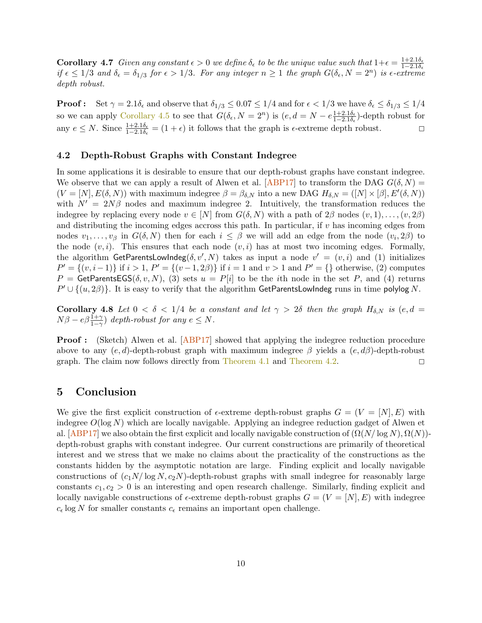**Corollary 4.7** Given any constant  $\epsilon > 0$  we define  $\delta_{\epsilon}$  to be the unique value such that  $1+\epsilon = \frac{1+2.1\delta_{\epsilon}}{1-2.1\delta_{\epsilon}}$  if  $\epsilon \leq 1/3$  and  $\delta_{\epsilon} = \delta_{1/3}$  for  $\epsilon > 1/3$ . For any integer  $n \geq 1$  the graph  $G(\delta_{\epsilon$ depth robust.

**Proof:** Set  $\gamma = 2.1\delta_{\epsilon}$  and observe that  $\delta_{1/3} \leq 0.07 \leq 1/4$  and for  $\epsilon < 1/3$  we have  $\delta_{\epsilon} \leq \delta_{1/3} \leq 1/4$ so we can apply [Corollary 4.5](#page-8-4) to see that  $G(\delta_{\epsilon}, N = 2^n)$  is  $(e, d = N - e^{\frac{1+2.1\delta_{\epsilon}}{1-2.1\delta_{\epsilon}}} )$ -depth robust for any  $e \leq N$ . Since  $\frac{1+2.1\delta_{\epsilon}}{1-2.1\delta_{\epsilon}} = (1+\epsilon)$  it follows that the graph is  $\epsilon$ -extreme depth robust.

#### 4.2 Depth-Robust Graphs with Constant Indegree

In some applications it is desirable to ensure that our depth-robust graphs have constant indegree. We observe that we can apply a result of Alwen et al. [\[ABP17\]](#page-10-1) to transform the DAG  $G(\delta, N)$  =  $(V = [N], E(\delta, N))$  with maximum indegree  $\beta = \beta_{\delta, N}$  into a new DAG  $H_{\delta, N} = ([N] \times [\beta], E'(\delta, N))$ with  $N' = 2N\beta$  nodes and maximum indegree 2. Intuitively, the transformation reduces the indegree by replacing every node  $v \in [N]$  from  $G(\delta, N)$  with a path of  $2\beta$  nodes  $(v, 1), \ldots, (v, 2\beta)$ and distributing the incoming edges accross this path. In particular, if  $v$  has incoming edges from nodes  $v_1, \ldots, v_\beta$  in  $G(\delta, N)$  then for each  $i \leq \beta$  we will add an edge from the node  $(v_i, 2\beta)$  to the node  $(v, i)$ . This ensures that each node  $(v, i)$  has at most two incoming edges. Formally, the algorithm GetParentsLowIndeg( $\delta, v', N$ ) takes as input a node  $v' = (v, i)$  and (1) initializes  $P' = \{(v, i-1)\}\$ if  $i > 1$ ,  $P' = \{(v-1, 2\beta)\}\$ if  $i = 1$  and  $v > 1$  and  $P' = \{\}\$ otherwise, (2) computes P = GetParentsEGS( $\delta, v, N$ ), (3) sets  $u = P[i]$  to be the *i*th node in the set P, and (4) returns  $P' \cup \{(u, 2\beta)\}$ . It is easy to verify that the algorithm GetParentsLowIndeg runs in time polylog N.

**Corollary 4.8** Let  $0 < \delta < 1/4$  be a constant and let  $\gamma > 2\delta$  then the graph  $H_{\delta,N}$  is  $(e, d)$  $N\beta - e\beta \frac{1+\gamma}{1-\gamma}$  depth-robust for any  $e \leq N$ .

**Proof :** (Sketch) Alwen et al. [\[ABP17\]](#page-10-1) showed that applying the indegree reduction procedure above to any  $(e, d)$ -depth-robust graph with maximum indegree  $\beta$  yields a  $(e, d\beta)$ -depth-robust graph. The claim now follows directly from [Theorem 4.1](#page-8-3) and [Theorem 4.2.](#page-8-0)  $\Box$ 

### 5 Conclusion

We give the first explicit construction of  $\epsilon$ -extreme depth-robust graphs  $G = (V = [N], E)$  with indegree  $O(\log N)$  which are locally navigable. Applying an indegree reduction gadget of Alwen et al.  $[ABP17]$  we also obtain the first explicit and locally navigable construction of  $(\Omega(N/\log N), \Omega(N))$ depth-robust graphs with constant indegree. Our current constructions are primarily of theoretical interest and we stress that we make no claims about the practicality of the constructions as the constants hidden by the asymptotic notation are large. Finding explicit and locally navigable constructions of  $(c_1N/\log N, c_2N)$ -depth-robust graphs with small indegree for reasonably large constants  $c_1, c_2 > 0$  is an interesting and open research challenge. Similarly, finding explicit and locally navigable constructions of  $\epsilon$ -extreme depth-robust graphs  $G = (V = [N], E)$  with indegree  $c_{\epsilon}$  log N for smaller constants  $c_{\epsilon}$  remains an important open challenge.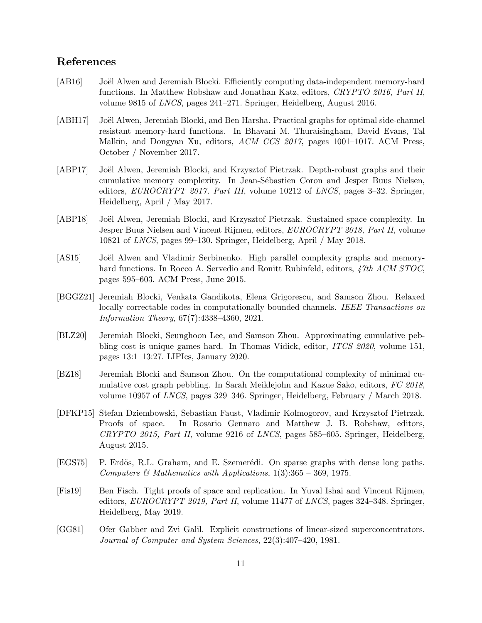## References

- <span id="page-10-0"></span>[AB16] Joël Alwen and Jeremiah Blocki. Efficiently computing data-independent memory-hard functions. In Matthew Robshaw and Jonathan Katz, editors, CRYPTO 2016, Part II, volume 9815 of LNCS, pages 241–271. Springer, Heidelberg, August 2016.
- <span id="page-10-7"></span>[ABH17] Joël Alwen, Jeremiah Blocki, and Ben Harsha. Practical graphs for optimal side-channel resistant memory-hard functions. In Bhavani M. Thuraisingham, David Evans, Tal Malkin, and Dongyan Xu, editors, ACM CCS 2017, pages 1001–1017. ACM Press, October / November 2017.
- <span id="page-10-1"></span>[ABP17] Joël Alwen, Jeremiah Blocki, and Krzysztof Pietrzak. Depth-robust graphs and their cumulative memory complexity. In Jean-Sébastien Coron and Jesper Buus Nielsen, editors, EUROCRYPT 2017, Part III, volume 10212 of LNCS, pages 3–32. Springer, Heidelberg, April / May 2017.
- <span id="page-10-10"></span>[ABP18] Joël Alwen, Jeremiah Blocki, and Krzysztof Pietrzak. Sustained space complexity. In Jesper Buus Nielsen and Vincent Rijmen, editors, EUROCRYPT 2018, Part II, volume 10821 of LNCS, pages 99–130. Springer, Heidelberg, April / May 2018.
- <span id="page-10-5"></span>[AS15] Joël Alwen and Vladimir Serbinenko. High parallel complexity graphs and memoryhard functions. In Rocco A. Servedio and Ronitt Rubinfeld, editors, 47th ACM STOC, pages 595–603. ACM Press, June 2015.
- <span id="page-10-4"></span>[BGGZ21] Jeremiah Blocki, Venkata Gandikota, Elena Grigorescu, and Samson Zhou. Relaxed locally correctable codes in computationally bounded channels. IEEE Transactions on Information Theory, 67(7):4338–4360, 2021.
- <span id="page-10-9"></span>[BLZ20] Jeremiah Blocki, Seunghoon Lee, and Samson Zhou. Approximating cumulative pebbling cost is unique games hard. In Thomas Vidick, editor, ITCS 2020, volume 151, pages 13:1–13:27. LIPIcs, January 2020.
- <span id="page-10-8"></span>[BZ18] Jeremiah Blocki and Samson Zhou. On the computational complexity of minimal cumulative cost graph pebbling. In Sarah Meiklejohn and Kazue Sako, editors, FC 2018, volume 10957 of LNCS, pages 329–346. Springer, Heidelberg, February / March 2018.
- <span id="page-10-2"></span>[DFKP15] Stefan Dziembowski, Sebastian Faust, Vladimir Kolmogorov, and Krzysztof Pietrzak. Proofs of space. In Rosario Gennaro and Matthew J. B. Robshaw, editors, CRYPTO 2015, Part II, volume 9216 of LNCS, pages 585–605. Springer, Heidelberg, August 2015.
- <span id="page-10-6"></span>[EGS75] P. Erdös, R.L. Graham, and E. Szemerédi. On sparse graphs with dense long paths. Computers  $\mathcal{B}$  Mathematics with Applications, 1(3):365 – 369, 1975.
- <span id="page-10-3"></span>[Fis19] Ben Fisch. Tight proofs of space and replication. In Yuval Ishai and Vincent Rijmen, editors, *EUROCRYPT 2019*, *Part II*, volume 11477 of *LNCS*, pages 324–348. Springer, Heidelberg, May 2019.
- <span id="page-10-11"></span>[GG81] Ofer Gabber and Zvi Galil. Explicit constructions of linear-sized superconcentrators. Journal of Computer and System Sciences, 22(3):407–420, 1981.